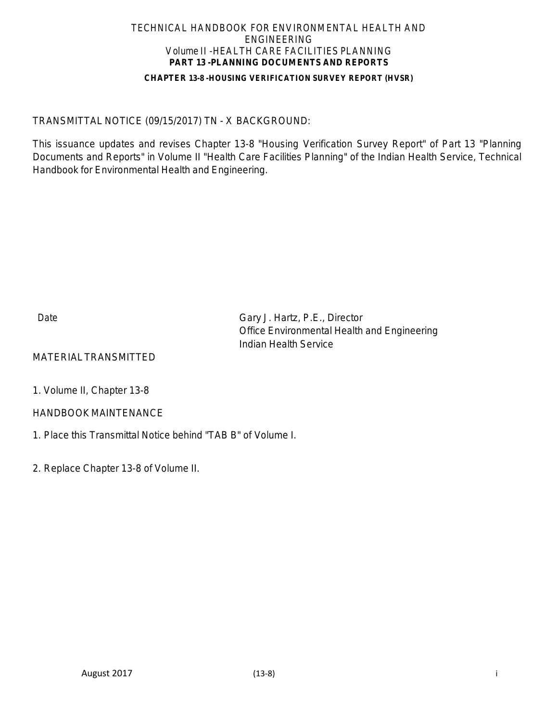#### **CHAPTER 13-8 -HOUSING VERIFICATION SURVEY REPORT (HVSR)**

## TRANSMITTAL NOTICE (09/15/2017) TN - X BACKGROUND:

This issuance updates and revises Chapter 13-8 "Housing Verification Survey Report" of Part 13 "Planning Documents and Reports" in Volume II "Health Care Facilities Planning" of the Indian Health Service, Technical Handbook for Environmental Health and Engineering.

Date Gary J. Hartz, P.E., Director Office Environmental Health and Engineering Indian Health Service

## MATERIALTRANSMITTED

1. Volume II, Chapter 13-8

## HANDBOOK MAINTENANCE

1. Place this Transmittal Notice behind "TAB B" of Volume I.

2. Replace Chapter 13-8 of Volume II.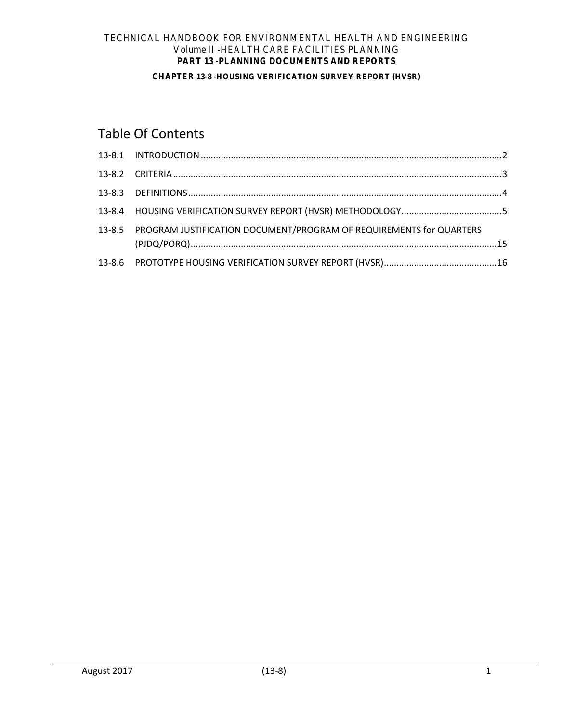#### **CHAPTER 13-8 -HOUSING VERIFICATION SURVEY REPORT (HVSR)**

# Table Of Contents

| 13-8.5 PROGRAM JUSTIFICATION DOCUMENT/PROGRAM OF REQUIREMENTS for QUARTERS |  |
|----------------------------------------------------------------------------|--|
|                                                                            |  |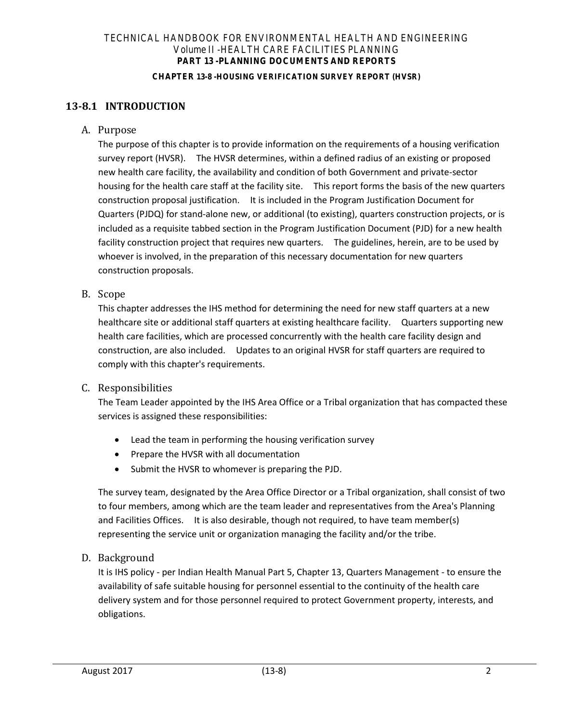#### **CHAPTER 13-8 -HOUSING VERIFICATION SURVEY REPORT (HVSR)**

# **13-8.1 INTRODUCTION**

<span id="page-2-0"></span>A. Purpose

The purpose of this chapter is to provide information on the requirements of a housing verification survey report (HVSR). The HVSR determines, within a defined radius of an existing or proposed new health care facility, the availability and condition of both Government and private-sector housing for the health care staff at the facility site. This report forms the basis of the new quarters construction proposal justification. It is included in the Program Justification Document for Quarters (PJDQ) for stand-alone new, or additional (to existing), quarters construction projects, or is included as a requisite tabbed section in the Program Justification Document (PJD) for a new health facility construction project that requires new quarters. The guidelines, herein, are to be used by whoever is involved, in the preparation of this necessary documentation for new quarters construction proposals.

B. Scope

This chapter addresses the IHS method for determining the need for new staff quarters at a new healthcare site or additional staff quarters at existing healthcare facility. Quarters supporting new health care facilities, which are processed concurrently with the health care facility design and construction, are also included. Updates to an original HVSR for staff quarters are required to comply with this chapter's requirements.

## C. Responsibilities

The Team Leader appointed by the IHS Area Office or a Tribal organization that has compacted these services is assigned these responsibilities:

- Lead the team in performing the housing verification survey
- Prepare the HVSR with all documentation
- Submit the HVSR to whomever is preparing the PJD.

The survey team, designated by the Area Office Director or a Tribal organization, shall consist of two to four members, among which are the team leader and representatives from the Area's Planning and Facilities Offices. It is also desirable, though not required, to have team member(s) representing the service unit or organization managing the facility and/or the tribe.

## D. Background

It is IHS policy - per Indian Health Manual Part 5, Chapter 13, Quarters Management - to ensure the availability of safe suitable housing for personnel essential to the continuity of the health care delivery system and for those personnel required to protect Government property, interests, and obligations.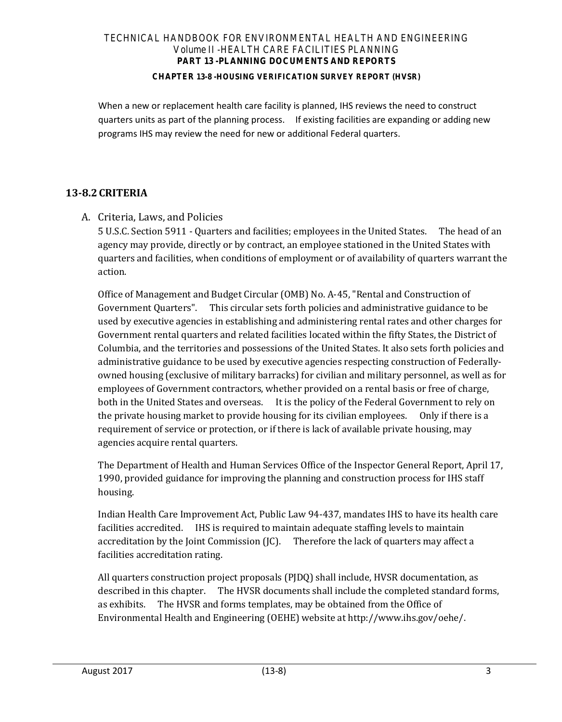### **CHAPTER 13-8 -HOUSING VERIFICATION SURVEY REPORT (HVSR)**

When a new or replacement health care facility is planned, IHS reviews the need to construct quarters units as part of the planning process. If existing facilities are expanding or adding new programs IHS may review the need for new or additional Federal quarters.

# <span id="page-3-0"></span>**13-8.2CRITERIA**

A. Criteria, Laws, and Policies

5 U.S.C. Section 5911 - Quarters and facilities; employees in the United States. The head of an agency may provide, directly or by contract, an employee stationed in the United States with quarters and facilities, when conditions of employment or of availability of quarters warrant the action.

Office of Management and Budget Circular (OMB) No. A-45, "Rental and Construction of Government Quarters". This circular sets forth policies and administrative guidance to be used by executive agencies in establishing and administering rental rates and other charges for Government rental quarters and related facilities located within the fifty States, the District of Columbia, and the territories and possessions of the United States. It also sets forth policies and administrative guidance to be used by executive agencies respecting construction of Federallyowned housing (exclusive of military barracks) for civilian and military personnel, as well as for employees of Government contractors, whether provided on a rental basis or free of charge, both in the United States and overseas. It is the policy of the Federal Government to rely on the private housing market to provide housing for its civilian employees. Only if there is a requirement of service or protection, or if there is lack of available private housing, may agencies acquire rental quarters.

The Department of Health and Human Services Office of the Inspector General Report, April 17, 1990, provided guidance for improving the planning and construction process for IHS staff housing.

Indian Health Care Improvement Act, Public Law 94-437, mandates IHS to have its health care facilities accredited. IHS is required to maintain adequate staffing levels to maintain accreditation by the Joint Commission (JC). Therefore the lack of quarters may affect a facilities accreditation rating.

All quarters construction project proposals (PJDQ) shall include, HVSR documentation, as described in this chapter. The HVSR documents shall include the completed standard forms, as exhibits. The HVSR and forms templates, may be obtained from the Office of Environmental Health and Engineering (OEHE) website a[t http://www.ihs.gov/oehe/.](http://www.ihs.gov/oehe/)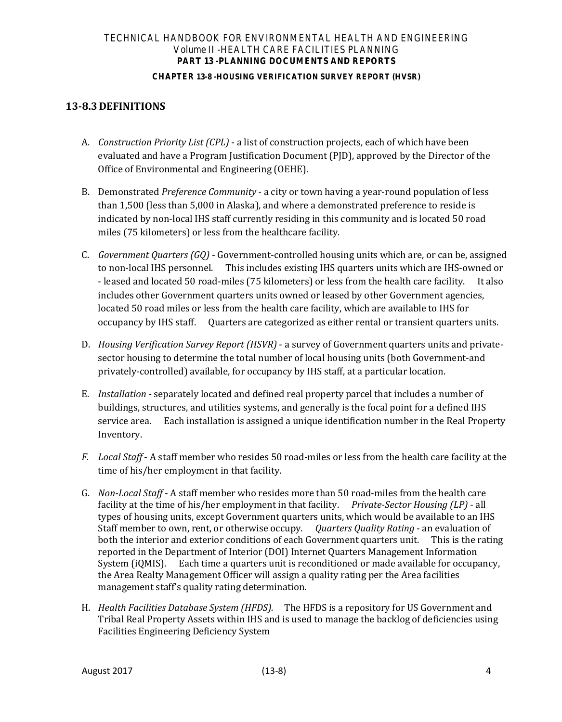#### **CHAPTER 13-8 -HOUSING VERIFICATION SURVEY REPORT (HVSR)**

# <span id="page-4-0"></span>**13-8.3DEFINITIONS**

- A. *Construction Priority List (CPL)* a list of construction projects, each of which have been evaluated and have a Program Justification Document (PJD), approved by the Director of the Office of Environmental and Engineering (OEHE).
- B. Demonstrated *Preference Community* a city or town having a year-round population of less than 1,500 (less than 5,000 in Alaska), and where a demonstrated preference to reside is indicated by non-local IHS staff currently residing in this community and is located 50 road miles (75 kilometers) or less from the healthcare facility.
- C. *Government Quarters (GQ)* Government-controlled housing units which are, or can be, assigned to non-local IHS personnel. This includes existing IHS quarters units which are IHS-owned or - leased and located 50 road-miles (75 kilometers) or less from the health care facility. It also includes other Government quarters units owned or leased by other Government agencies, located 50 road miles or less from the health care facility, which are available to IHS for occupancy by IHS staff. Quarters are categorized as either rental or transient quarters units.
- D. *Housing Verification Survey Report (HSVR)* a survey of Government quarters units and privatesector housing to determine the total number of local housing units (both Government-and privately-controlled) available, for occupancy by IHS staff, at a particular location.
- E. *Installation* separately located and defined real property parcel that includes a number of buildings, structures, and utilities systems, and generally is the focal point for a defined IHS service area. Each installation is assigned a unique identification number in the Real Property Inventory.
- *F. Local Staff* A staff member who resides 50 road-miles or less from the health care facility at the time of his/her employment in that facility.
- G. *Non-Local Staff* A staff member who resides more than 50 road-miles from the health care facility at the time of his/her employment in that facility. *Private-Sector Housing (LP)* - all types of housing units, except Government quarters units, which would be available to an IHS Staff member to own, rent, or otherwise occupy. *Quarters Quality Rating* - an evaluation of both the interior and exterior conditions of each Government quarters unit. This is the rating reported in the Department of Interior (DOI) Internet Quarters Management Information System (iQMIS). Each time a quarters unit is reconditioned or made available for occupancy, the Area Realty Management Officer will assign a quality rating per the Area facilities management staff's quality rating determination.
- H. *Health Facilities Database System (HFDS).* The HFDS is a repository for US Government and Tribal Real Property Assets within IHS and is used to manage the backlog of deficiencies using Facilities Engineering Deficiency System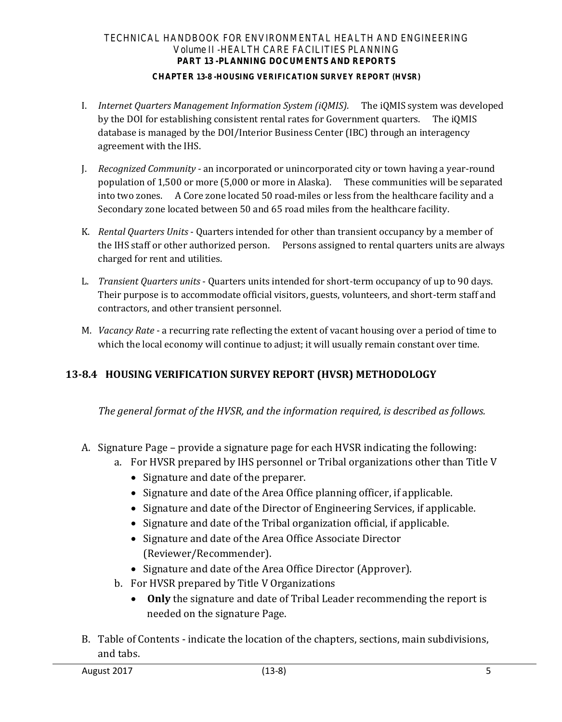## **CHAPTER 13-8 -HOUSING VERIFICATION SURVEY REPORT (HVSR)**

- I. *Internet Quarters Management Information System (iQMIS)*. The iQMIS system was developed by the DOI for establishing consistent rental rates for Government quarters. The iQMIS database is managed by the DOI/Interior Business Center (IBC) through an interagency agreement with the IHS.
- J. *Recognized Community* an incorporated or unincorporated city or town having a year-round population of 1,500 or more (5,000 or more in Alaska). These communities will be separated into two zones. A Core zone located 50 road-miles or less from the healthcare facility and a Secondary zone located between 50 and 65 road miles from the healthcare facility.
- K. *Rental Quarters Units* Quarters intended for other than transient occupancy by a member of the IHS staff or other authorized person. Persons assigned to rental quarters units are always charged for rent and utilities.
- L. *Transient Quarters units* Quarters units intended for short-term occupancy of up to 90 days. Their purpose is to accommodate official visitors, guests, volunteers, and short-term staff and contractors, and other transient personnel.
- <span id="page-5-0"></span>M. *Vacancy Rate* - a recurring rate reflecting the extent of vacant housing over a period of time to which the local economy will continue to adjust; it will usually remain constant over time.

# **13-8.4 HOUSING VERIFICATION SURVEY REPORT (HVSR) METHODOLOGY**

*The general format of the HVSR, and the information required, is described as follows.* 

- A. Signature Page provide a signature page for each HVSR indicating the following:
	- a. For HVSR prepared by IHS personnel or Tribal organizations other than Title V
		- Signature and date of the preparer.
		- Signature and date of the Area Office planning officer, if applicable.
		- Signature and date of the Director of Engineering Services, if applicable.
		- Signature and date of the Tribal organization official, if applicable.
		- Signature and date of the Area Office Associate Director (Reviewer/Recommender).
		- Signature and date of the Area Office Director (Approver).
	- b. For HVSR prepared by Title V Organizations
		- **Only** the signature and date of Tribal Leader recommending the report is needed on the signature Page.
- B. Table of Contents indicate the location of the chapters, sections, main subdivisions, and tabs.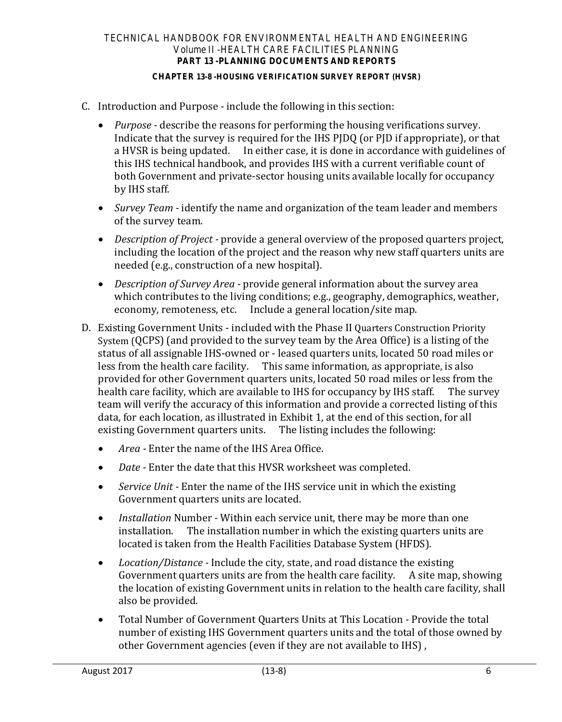## **CHAPTER 13-8 -HOUSING VERIFICATION SURVEY REPORT (HVSR)**

- C. Introduction and Purpose include the following in this section:
	- *Purpose* describe the reasons for performing the housing verifications survey. Indicate that the survey is required for the IHS PJDQ (or PJD if appropriate), or that a HVSR is being updated. In either case, it is done in accordance with guidelines of this IHS technical handbook, and provides IHS with a current verifiable count of both Government and private-sector housing units available locally for occupancy by IHS staff.
	- *Survey Team* identify the name and organization of the team leader and members of the survey team.
	- *Description of Project* provide a general overview of the proposed quarters project, including the location of the project and the reason why new staff quarters units are needed (e.g., construction of a new hospital).
	- *Description of Survey Area* provide general information about the survey area which contributes to the living conditions; e.g., geography, demographics, weather, economy, remoteness, etc. Include a general location/site map.
- D. Existing Government Units included with the Phase II Quarters Construction Priority System (QCPS) (and provided to the survey team by the Area Office) is a listing of the status of all assignable IHS-owned or - leased quarters units, located 50 road miles or less from the health care facility. This same information, as appropriate, is also provided for other Government quarters units, located 50 road miles or less from the health care facility, which are available to IHS for occupancy by IHS staff. The survey team will verify the accuracy of this information and provide a corrected listing of this data, for each location, as illustrated in Exhibit 1, at the end of this section, for all existing Government quarters units. The listing includes the following:
	- *Area* Enter the name of the IHS Area Office.
	- *Date* Enter the date that this HVSR worksheet was completed.
	- *Service Unit* Enter the name of the IHS service unit in which the existing Government quarters units are located.
	- *Installation* Number Within each service unit, there may be more than one installation. The installation number in which the existing quarters units are located is taken from the Health Facilities Database System (HFDS).
	- *Location/Distance* Include the city, state, and road distance the existing Government quarters units are from the health care facility. A site map, showing the location of existing Government units in relation to the health care facility, shall also be provided.
	- Total Number of Government Quarters Units at This LocationProvide the total number of existing IHS Government quarters units and the total of those owned by other Government agencies (even if they are not available to IHS) ,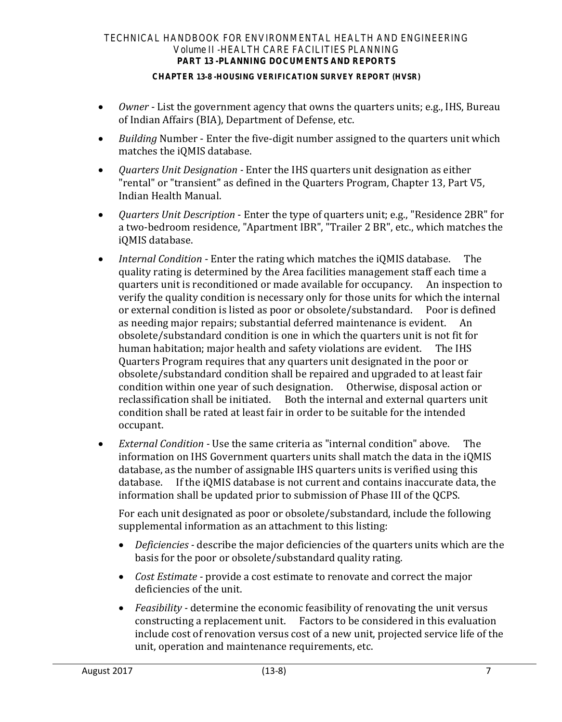### **CHAPTER 13-8 -HOUSING VERIFICATION SURVEY REPORT (HVSR)**

- *Owner* List the government agency that owns the quarters units; e.g., IHS, Bureau of Indian Affairs (BIA), Department of Defense, etc.
- *Building* Number Enter the five-digit number assigned to the quarters unit which matches the iQMIS database.
- *Quarters Unit Designation* Enter the IHS quarters unit designation as either "rental" or "transient" as defined in the Quarters Program, Chapter 13, Part V5, Indian Health Manual.
- *Quarters Unit Description* Enter the type of quarters unit; e.g., "Residence 2BR" for a two-bedroom residence, "Apartment IBR", "Trailer 2 BR", etc., which matches the iQMIS database.
- *Internal Condition* Enter the rating which matches the iQMIS database. The quality rating is determined by the Area facilities management staff each time a quarters unit is reconditioned or made available for occupancy. verify the quality condition is necessary only for those units for which the internal<br>or external condition is listed as poor or obsolete/substandard. Poor is defined or external condition is listed as poor or obsolete/substandard. as needing major repairs; substantial deferred maintenance is evident. An obsolete/substandard condition is one in which the quarters unit is not fit for human habitation; major health and safety violations are evident. Quarters Program requires that any quarters unit designated in the poor or obsolete/substandard condition shall be repaired and upgraded to at least fair condition within one year of such designation. Otherwise, disposal action or Both the internal and external quarters unit condition shall be rated at least fair in order to be suitable for the intended occupant.
- *External Condition* Use the same criteria as "internal condition" above. The information on IHS Government quarters units shall match the data in the iQMIS database, as the number of assignable IHS quarters units is verified using this database. If the iOMIS database is not current and contains inaccurate data. If the iQMIS database is not current and contains inaccurate data, the information shall be updated prior to submission of Phase III of the QCPS.

For each unit designated as poor or obsolete/substandard, include the following supplemental information as an attachment to this listing:

- *Deficiencies* describe the major deficiencies of the quarters units which are the basis for the poor or obsolete/substandard quality rating.
- *Cost Estimate* provide a cost estimate to renovate and correct the major deficiencies of the unit.
- *Feasibility* determine the economic feasibility of renovating the unit versus constructing a replacement unit. Factors to be considered in this evaluation include cost of renovation versus cost of a new unit, projected service life of the unit, operation and maintenance requirements, etc.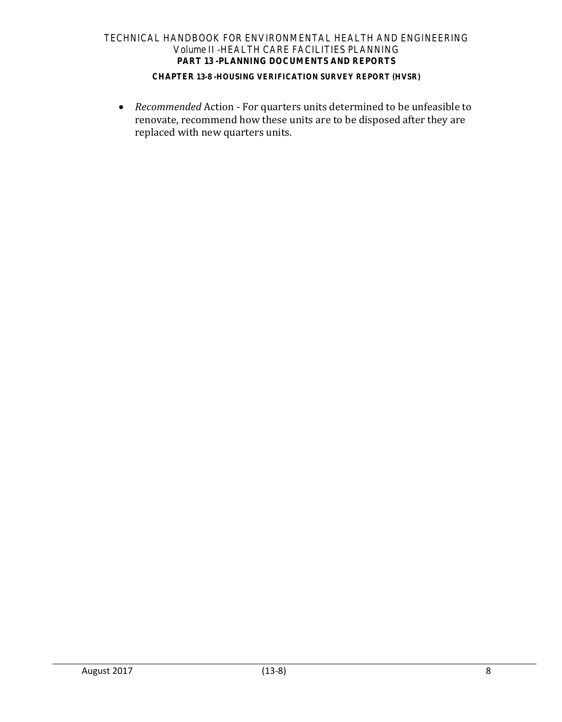### **CHAPTER 13-8 -HOUSING VERIFICATION SURVEY REPORT (HVSR)**

• *Recommended* Action - For quarters units determined to be unfeasible to renovate, recommend how these units are to be disposed after they are replaced with new quarters units.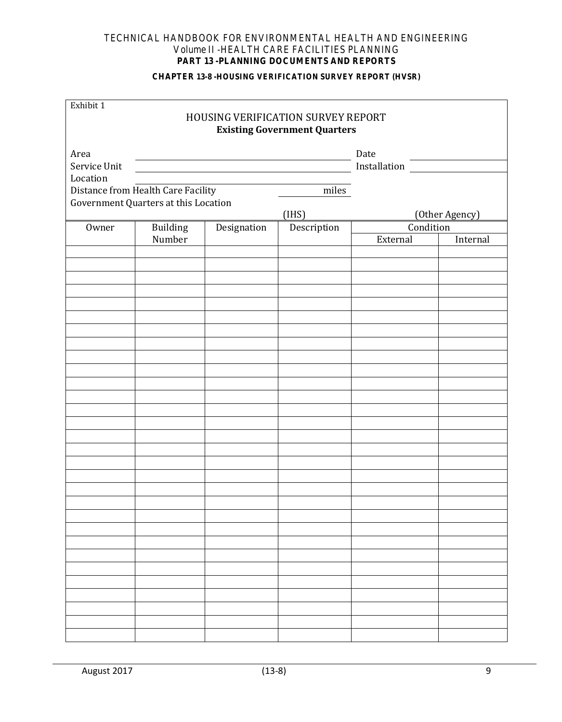#### **CHAPTER 13-8 -HOUSING VERIFICATION SURVEY REPORT (HVSR)**

| Exhibit 1    |                                      |                                                                                                                      | <b>HOUSING VERIFICATION SURVEY REPORT</b><br><b>Existing Government Quarters</b> |                       |                |
|--------------|--------------------------------------|----------------------------------------------------------------------------------------------------------------------|----------------------------------------------------------------------------------|-----------------------|----------------|
| Area         |                                      | <u> Alexandria de la contrada de la contrada de la contrada de la contrada de la contrada de la contrada de la c</u> |                                                                                  | Date                  |                |
| Service Unit |                                      |                                                                                                                      |                                                                                  | <b>Installation</b>   |                |
| Location     |                                      |                                                                                                                      |                                                                                  |                       |                |
|              | Distance from Health Care Facility   |                                                                                                                      | miles                                                                            |                       |                |
|              | Government Quarters at this Location |                                                                                                                      |                                                                                  |                       |                |
|              |                                      |                                                                                                                      | (IHS)                                                                            |                       | (Other Agency) |
| Owner        | Building<br>Number                   | Designation                                                                                                          | Description                                                                      | Condition<br>External | Internal       |
|              |                                      |                                                                                                                      |                                                                                  |                       |                |
|              |                                      |                                                                                                                      |                                                                                  |                       |                |
|              |                                      |                                                                                                                      |                                                                                  |                       |                |
|              |                                      |                                                                                                                      |                                                                                  |                       |                |
|              |                                      |                                                                                                                      |                                                                                  |                       |                |
|              |                                      |                                                                                                                      |                                                                                  |                       |                |
|              |                                      |                                                                                                                      |                                                                                  |                       |                |
|              |                                      |                                                                                                                      |                                                                                  |                       |                |
|              |                                      |                                                                                                                      |                                                                                  |                       |                |
|              |                                      |                                                                                                                      |                                                                                  |                       |                |
|              |                                      |                                                                                                                      |                                                                                  |                       |                |
|              |                                      |                                                                                                                      |                                                                                  |                       |                |
|              |                                      |                                                                                                                      |                                                                                  |                       |                |
|              |                                      |                                                                                                                      |                                                                                  |                       |                |
|              |                                      |                                                                                                                      |                                                                                  |                       |                |
|              |                                      |                                                                                                                      |                                                                                  |                       |                |
|              |                                      |                                                                                                                      |                                                                                  |                       |                |
|              |                                      |                                                                                                                      |                                                                                  |                       |                |
|              |                                      |                                                                                                                      |                                                                                  |                       |                |
|              |                                      |                                                                                                                      |                                                                                  |                       |                |
|              |                                      |                                                                                                                      |                                                                                  |                       |                |
|              |                                      |                                                                                                                      |                                                                                  |                       |                |
|              |                                      |                                                                                                                      |                                                                                  |                       |                |
|              |                                      |                                                                                                                      |                                                                                  |                       |                |
|              |                                      |                                                                                                                      |                                                                                  |                       |                |
|              |                                      |                                                                                                                      |                                                                                  |                       |                |
|              |                                      |                                                                                                                      |                                                                                  |                       |                |
|              |                                      |                                                                                                                      |                                                                                  |                       |                |
|              |                                      |                                                                                                                      |                                                                                  |                       |                |
|              |                                      |                                                                                                                      |                                                                                  |                       |                |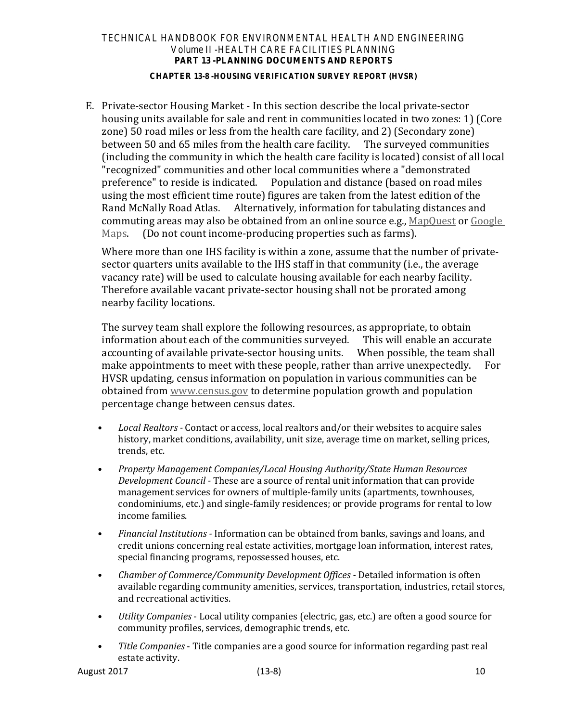## **CHAPTER 13-8 -HOUSING VERIFICATION SURVEY REPORT (HVSR)**

E. Private-sector Housing Market - In this section describe the local private-sector housing units available for sale and rent in communities located in two zones: 1) (Core zone) 50 road miles or less from the health care facility, and 2) (Secondary zone) between 50 and 65 miles from the health care facility. The surveyed communities (including the community in which the health care facility is located) consist of all local "recognized" communities and other local communities where a "demonstrated preference" to reside is indicated. Population and distance (based on road miles using the most efficient time route) figures are taken from the latest edition of the Rand McNally Road Atlas. Alternatively, information for tabulating distances and commuting areas may also be obtained from an online source e.g., [MapQuest](http://www.mapquest.com/) or [Google](https://www.google.com/maps) Maps. (Do not count income-producing properties such as farms). (Do not count income-producing properties such as farms).

Where more than one IHS facility is within a zone, assume that the number of privatesector quarters units available to the IHS staff in that community (i.e., the average vacancy rate) will be used to calculate housing available for each nearby facility. Therefore available vacant private-sector housing shall not be prorated among nearby facility locations.

The survey team shall explore the following resources, as appropriate, to obtain<br>information about each of the communities surveved. This will enable an accurate information about each of the communities surveyed. accounting of available private-sector housing units. When possible, the team shall make annointments to meet with these people, rather than arrive unexpectedly. For make appointments to meet with these people, rather than arrive unexpectedly. HVSR updating, census information on population in various communities can be obtained from [www.census.gov](file://hqrckopsfs/shares/odir/OEHE/DFPC/Guidelines/Technical%20Handbook/13-8%20HVSR/www.census.gov%20) to determine population growth and population percentage change between census dates.

- *Local Realtors* Contact or access, local realtors and/or their websites to acquire sales history, market conditions, availability, unit size, average time on market, selling prices, trends, etc.
- *Property Management Companies/Local Housing Authority/State Human Resources Development Council -* These are a source of rental unit information that can provide management services for owners of multiple-family units (apartments, townhouses, condominiums, etc.) and single-family residences; or provide programs for rental to low income families.
- *Financial Institutions* Information can be obtained from banks, savings and loans, and credit unions concerning real estate activities, mortgage loan information, interest rates, special financing programs, repossessed houses, etc.
- *Chamber of Commerce/Community Development Offices* Detailed information is often available regarding community amenities, services, transportation, industries, retail stores, and recreational activities.
- *Utility Companies* Local utility companies (electric, gas, etc.) are often a good source for community profiles, services, demographic trends, etc.
- *Title Companies* Title companies are a good source for information regarding past real estate activity.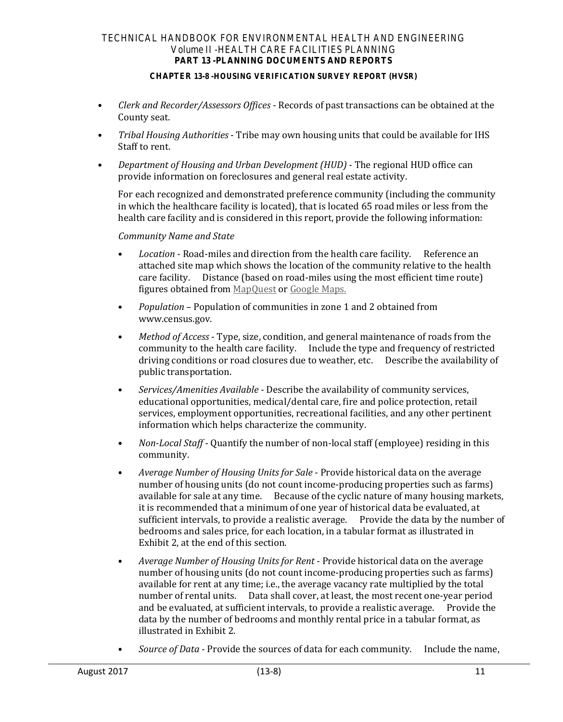#### **CHAPTER 13-8 -HOUSING VERIFICATION SURVEY REPORT (HVSR)**

- *Clerk and Recorder/Assessors Offices* Records of past transactions can be obtained at the County seat.
- *Tribal Housing Authorities* Tribe may own housing units that could be available for IHS Staff to rent.
- *Department of Housing and Urban Development (HUD)* The regional HUD office can provide information on foreclosures and general real estate activity.

For each recognized and demonstrated preference community (including the community in which the healthcare facility is located), that is located 65 road miles or less from the health care facility and is considered in this report, provide the following information:

## *Community Name and State*

- *Location* Road-miles and direction from the health care facility. Reference an attached site map which shows the location of the community relative to the health care facility. Distance (based on road-miles using the most efficient time route) figures obtained from [MapQuest](http://www.mapquest.com/) or [Google Maps.](https://maps.google.com/maps?hl=en&tab=wl)
- *Population* Population of communities in zone 1 and 2 obtained from www.census.gov.
- *Method of Access* Type, size, condition, and general maintenance of roads from the community to the health care facility. Include the type and frequency of restricted driving conditions or road closures due to weather, etc. Describe the availability of public transportation.
- *Services/Amenities Available* Describe the availability of community services, educational opportunities, medical/dental care, fire and police protection, retail services, employment opportunities, recreational facilities, and any other pertinent information which helps characterize the community.
- *Non-Local Staff* Quantify the number of non-local staff (employee) residing in this community.
- *Average Number of Housing Units for Sale* Provide historical data on the average number of housing units (do not count income-producing properties such as farms) available for sale at any time. Because of the cyclic nature of many housing markets, it is recommended that a minimum of one year of historical data be evaluated, at sufficient intervals, to provide a realistic average. Provide the data by the number of bedrooms and sales price, for each location, in a tabular format as illustrated in Exhibit 2, at the end of this section.
- *Average Number of Housing Units for Rent* Provide historical data on the average number of housing units (do not count income-producing properties such as farms) available for rent at any time; i.e., the average vacancy rate multiplied by the total number of rental units. Data shall cover, at least, the most recent one-year period and be evaluated, at sufficient intervals, to provide a realistic average. Provide the data by the number of bedrooms and monthly rental price in a tabular format, as illustrated in Exhibit 2.
- *Source of Data* Provide the sources of data for each community. Include the name,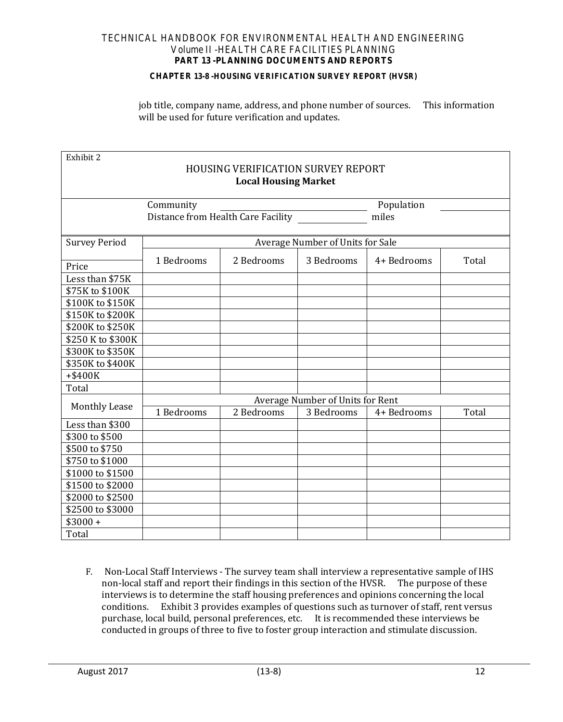#### **CHAPTER 13-8 -HOUSING VERIFICATION SURVEY REPORT (HVSR)**

job title, company name, address, and phone number of sources. This information will be used for future verification and updates.

| Exhibit 2                   |                                           |            |                                         |             |       |  |  |  |  |
|-----------------------------|-------------------------------------------|------------|-----------------------------------------|-------------|-------|--|--|--|--|
|                             | <b>HOUSING VERIFICATION SURVEY REPORT</b> |            |                                         |             |       |  |  |  |  |
| <b>Local Housing Market</b> |                                           |            |                                         |             |       |  |  |  |  |
|                             | Community<br>Population                   |            |                                         |             |       |  |  |  |  |
|                             |                                           |            |                                         | miles       |       |  |  |  |  |
|                             |                                           |            |                                         |             |       |  |  |  |  |
| <b>Survey Period</b>        |                                           |            | <b>Average Number of Units for Sale</b> |             |       |  |  |  |  |
|                             | 1 Bedrooms                                | 2 Bedrooms | 3 Bedrooms                              | 4+ Bedrooms | Total |  |  |  |  |
| Price                       |                                           |            |                                         |             |       |  |  |  |  |
| Less than \$75K             |                                           |            |                                         |             |       |  |  |  |  |
| \$75K to \$100K             |                                           |            |                                         |             |       |  |  |  |  |
| \$100K to \$150K            |                                           |            |                                         |             |       |  |  |  |  |
| \$150K to \$200K            |                                           |            |                                         |             |       |  |  |  |  |
| \$200K to \$250K            |                                           |            |                                         |             |       |  |  |  |  |
| \$250 K to \$300K           |                                           |            |                                         |             |       |  |  |  |  |
| \$300K to \$350K            |                                           |            |                                         |             |       |  |  |  |  |
| \$350K to \$400K            |                                           |            |                                         |             |       |  |  |  |  |
| +\$400K                     |                                           |            |                                         |             |       |  |  |  |  |
| Total                       |                                           |            |                                         |             |       |  |  |  |  |
|                             | Average Number of Units for Rent          |            |                                         |             |       |  |  |  |  |
| <b>Monthly Lease</b>        | 1 Bedrooms                                | 2 Bedrooms | 3 Bedrooms                              | 4+ Bedrooms | Total |  |  |  |  |
| Less than \$300             |                                           |            |                                         |             |       |  |  |  |  |
| \$300 to \$500              |                                           |            |                                         |             |       |  |  |  |  |
| \$500 to \$750              |                                           |            |                                         |             |       |  |  |  |  |
| \$750 to \$1000             |                                           |            |                                         |             |       |  |  |  |  |
| \$1000 to \$1500            |                                           |            |                                         |             |       |  |  |  |  |
| \$1500 to \$2000            |                                           |            |                                         |             |       |  |  |  |  |
| \$2000 to \$2500            |                                           |            |                                         |             |       |  |  |  |  |
| \$2500 to \$3000            |                                           |            |                                         |             |       |  |  |  |  |
| $$3000 +$                   |                                           |            |                                         |             |       |  |  |  |  |
| Total                       |                                           |            |                                         |             |       |  |  |  |  |

F. Non-Local Staff Interviews - The survey team shall interview a representative sample of IHS non-local staff and report their findings in this section of the HVSR. The purpose of these interviews is to determine the staff housing preferences and opinions concerning the local Exhibit 3 provides examples of questions such as turnover of staff, rent versus purchase, local build, personal preferences, etc. It is recommended these interviews be conducted in groups of three to five to foster group interaction and stimulate discussion.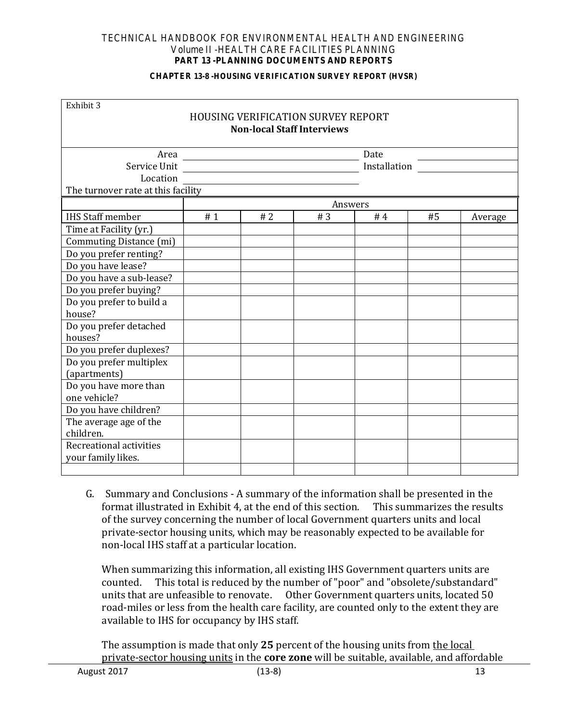#### **CHAPTER 13-8 -HOUSING VERIFICATION SURVEY REPORT (HVSR)**

| Exhibit 3                          |    |    |                                                                                |      |              |         |
|------------------------------------|----|----|--------------------------------------------------------------------------------|------|--------------|---------|
|                                    |    |    | <b>HOUSING VERIFICATION SURVEY REPORT</b><br><b>Non-local Staff Interviews</b> |      |              |         |
|                                    |    |    |                                                                                | Date |              |         |
| Service Unit                       |    |    |                                                                                |      | Installation |         |
| Location                           |    |    |                                                                                |      |              |         |
| The turnover rate at this facility |    |    |                                                                                |      |              |         |
|                                    |    |    | Answers                                                                        |      |              |         |
| <b>IHS Staff member</b>            | #1 | #2 | #3                                                                             | #4   | #5           | Average |
| Time at Facility (yr.)             |    |    |                                                                                |      |              |         |
| Commuting Distance (mi)            |    |    |                                                                                |      |              |         |
| Do you prefer renting?             |    |    |                                                                                |      |              |         |
| Do you have lease?                 |    |    |                                                                                |      |              |         |
| Do you have a sub-lease?           |    |    |                                                                                |      |              |         |
| Do you prefer buying?              |    |    |                                                                                |      |              |         |
| Do you prefer to build a           |    |    |                                                                                |      |              |         |
| house?                             |    |    |                                                                                |      |              |         |
| Do you prefer detached             |    |    |                                                                                |      |              |         |
| houses?                            |    |    |                                                                                |      |              |         |
| Do you prefer duplexes?            |    |    |                                                                                |      |              |         |
| Do you prefer multiplex            |    |    |                                                                                |      |              |         |
| (apartments)                       |    |    |                                                                                |      |              |         |
| Do you have more than              |    |    |                                                                                |      |              |         |
| one vehicle?                       |    |    |                                                                                |      |              |         |
| Do you have children?              |    |    |                                                                                |      |              |         |
| The average age of the             |    |    |                                                                                |      |              |         |
| children.                          |    |    |                                                                                |      |              |         |
| Recreational activities            |    |    |                                                                                |      |              |         |
| your family likes.                 |    |    |                                                                                |      |              |         |
|                                    |    |    |                                                                                |      |              |         |

G.Summary and Conclusions - A summary of the information shall be presented in the format illustrated in Exhibit 4, at the end of this section. of the survey concerning the number of local Government quarters units and local private-sector housing units, which may be reasonably expected to be available for non-local IHS staff at a particular location.

When summarizing this information, all existing IHS Government quarters units are counted. This total is reduced by the number of "poor" and "obsolete/substandard This total is reduced by the number of "poor" and "obsolete/substandard" units that are unfeasible to renovate. Other Government quarters units, located 50 road-miles or less from the health care facility, are counted only to the extent they are available to IHS for occupancy by IHS staff.

The assumption is made that only **25** percent of the housing units from the local private-sector housing units in the **core zone** will be suitable, available, and affordable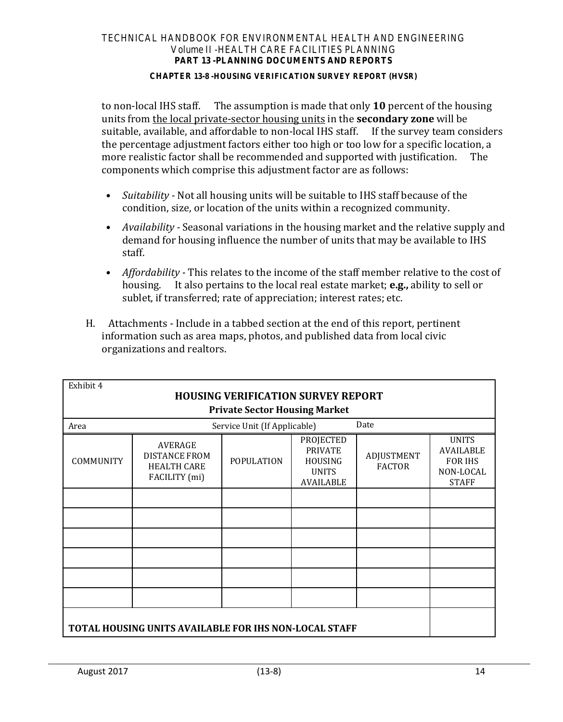#### **CHAPTER 13-8 -HOUSING VERIFICATION SURVEY REPORT (HVSR)**

to non-local IHS staff. The assumption is made that only **10** percent of the housing units from the local private-sector housing units in the **secondary zone** will be suitable, available, and affordable to non-local IHS staff. If the survey team considers the percentage adjustment factors either too high or too low for a specific location, a<br>more realistic factor shall be recommended and supported with justification. The more realistic factor shall be recommended and supported with justification. components which comprise this adjustment factor are as follows:

- *Suitability* Not all housing units will be suitable to IHS staff because of the condition, size, or location of the units within a recognized community.
- *Availability* Seasonal variations in the housing market and the relative supply and demand for housing influence the number of units that may be available to IHS staff.
- *Affordability* This relates to the income of the staff member relative to the cost of housing. It also pertains to the local real estate market; **e.g.**, ability to sell or It also pertains to the local real estate market; **e.g.**, ability to sell or sublet, if transferred; rate of appreciation; interest rates; etc.
- H.Attachments Include in a tabbed section at the end of this report, pertinent information such as area maps, photos, and published data from local civic organizations and realtors.

| Exhibit 4 | <b>HOUSING VERIFICATION SURVEY REPORT</b><br><b>Private Sector Housing Market</b> |                              |                                                                                          |                             |                                                                                 |  |  |
|-----------|-----------------------------------------------------------------------------------|------------------------------|------------------------------------------------------------------------------------------|-----------------------------|---------------------------------------------------------------------------------|--|--|
| Area      |                                                                                   | Service Unit (If Applicable) |                                                                                          | Date                        |                                                                                 |  |  |
| COMMUNITY | <b>AVERAGE</b><br><b>DISTANCE FROM</b><br><b>HEALTH CARE</b><br>FACILITY (mi)     | <b>POPULATION</b>            | <b>PROJECTED</b><br><b>PRIVATE</b><br><b>HOUSING</b><br><b>UNITS</b><br><b>AVAILABLE</b> | ADJUSTMENT<br><b>FACTOR</b> | <b>UNITS</b><br><b>AVAILABLE</b><br><b>FOR IHS</b><br>NON-LOCAL<br><b>STAFF</b> |  |  |
|           |                                                                                   |                              |                                                                                          |                             |                                                                                 |  |  |
|           |                                                                                   |                              |                                                                                          |                             |                                                                                 |  |  |
|           |                                                                                   |                              |                                                                                          |                             |                                                                                 |  |  |
|           |                                                                                   |                              |                                                                                          |                             |                                                                                 |  |  |
|           |                                                                                   |                              |                                                                                          |                             |                                                                                 |  |  |
|           |                                                                                   |                              |                                                                                          |                             |                                                                                 |  |  |
|           | TOTAL HOUSING UNITS AVAILABLE FOR IHS NON-LOCAL STAFF                             |                              |                                                                                          |                             |                                                                                 |  |  |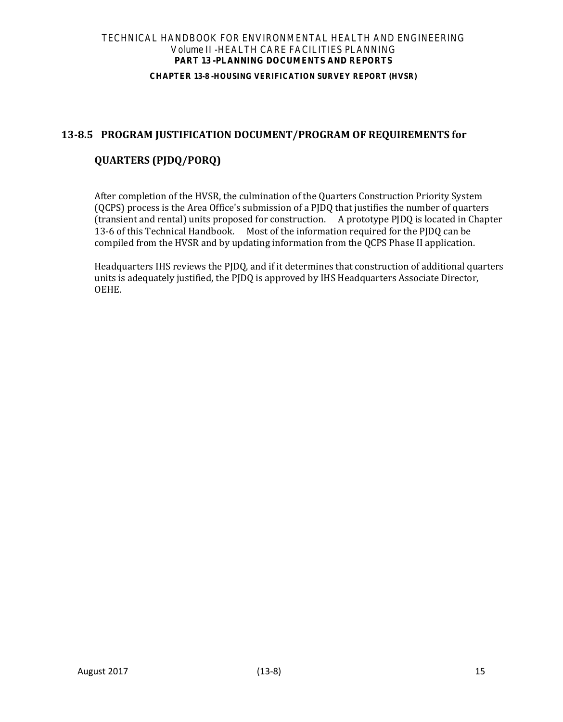#### **CHAPTER 13-8 -HOUSING VERIFICATION SURVEY REPORT (HVSR)**

# <span id="page-15-0"></span>**13-8.5 PROGRAM JUSTIFICATION DOCUMENT/PROGRAM OF REQUIREMENTS for**

# **QUARTERS (PJDQ/PORQ)**

After completion of the HVSR, the culmination of the Quarters Construction Priority System (QCPS) process is the Area Office's submission of a PJDQ that justifies the number of quarters (transient and rental) units proposed for construction. A prototype PJDQ is located in Chapter 13-6 of this Technical Handbook. Most of the information required for the PJDQ can be compiled from the HVSR and by updating information from the QCPS Phase II application.

Headquarters IHS reviews the PJDQ, and if it determines that construction of additional quarters units is adequately justified, the PJDQ is approved by IHS Headquarters Associate Director, OEHE.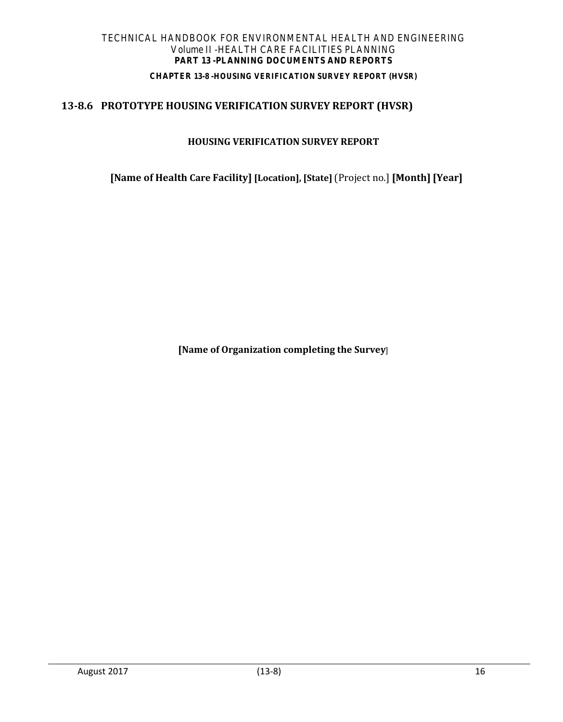# **CHAPTER 13-8 -HOUSING VERIFICATION SURVEY REPORT (HVSR)**

# <span id="page-16-0"></span>**13-8.6 PROTOTYPE HOUSING VERIFICATION SURVEY REPORT (HVSR)**

## **HOUSING VERIFICATION SURVEY REPORT**

**[Name of Health Care Facility] [Location], [State]** (Project no.] **[Month] [Year]**

**[Name of Organization completing the Survey**]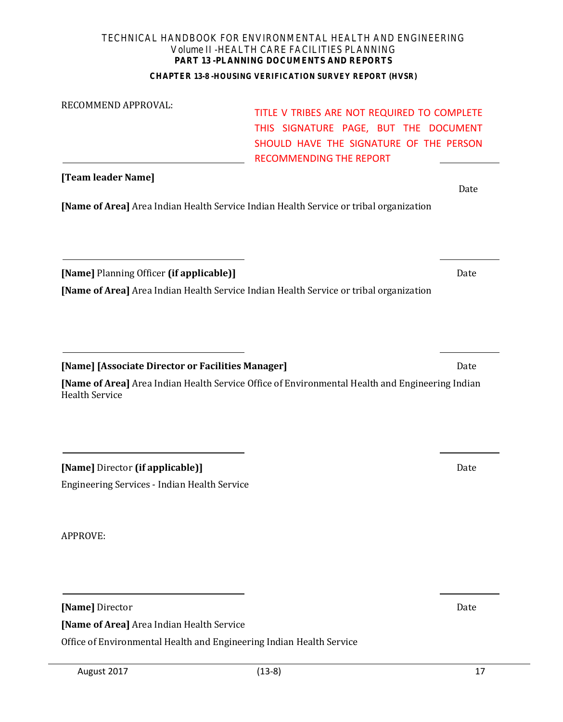#### **CHAPTER 13-8 -HOUSING VERIFICATION SURVEY REPORT (HVSR)**

| RECOMMEND APPROVAL:                                                                                                                | TITLE V TRIBES ARE NOT REQUIRED TO COMPLETE<br>THIS SIGNATURE PAGE, BUT THE DOCUMENT<br>SHOULD HAVE THE SIGNATURE OF THE PERSON<br><b>RECOMMENDING THE REPORT</b> |      |
|------------------------------------------------------------------------------------------------------------------------------------|-------------------------------------------------------------------------------------------------------------------------------------------------------------------|------|
| [Team leader Name]                                                                                                                 |                                                                                                                                                                   | Date |
| [Name of Area] Area Indian Health Service Indian Health Service or tribal organization                                             |                                                                                                                                                                   |      |
| [Name] Planning Officer (if applicable)]<br>[Name of Area] Area Indian Health Service Indian Health Service or tribal organization |                                                                                                                                                                   | Date |
| [Name] [Associate Director or Facilities Manager]                                                                                  |                                                                                                                                                                   | Date |
| <b>Health Service</b>                                                                                                              | [Name of Area] Area Indian Health Service Office of Environmental Health and Engineering Indian                                                                   |      |
| [Name] Director (if applicable)]                                                                                                   |                                                                                                                                                                   | Date |

Engineering Services - Indian Health Service

APPROVE:

**[Name]** Director Date

**[Name of Area]** Area Indian Health Service

Office of Environmental Health and Engineering Indian Health Service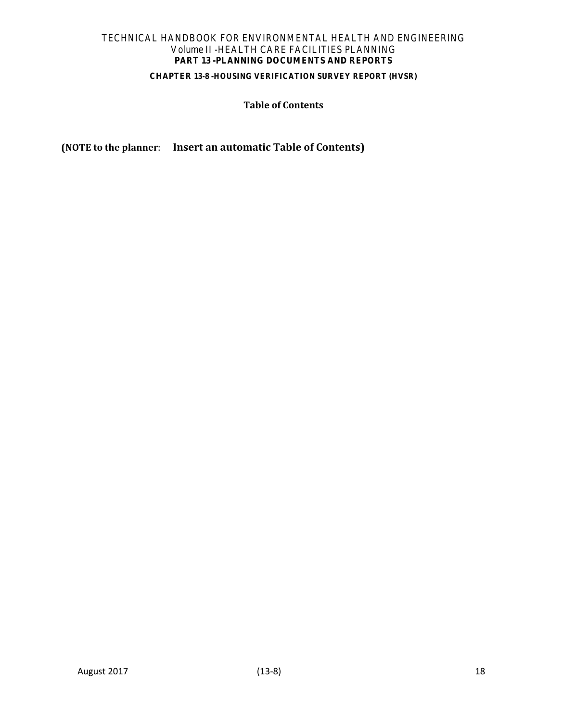## **CHAPTER 13-8 -HOUSING VERIFICATION SURVEY REPORT (HVSR)**

## **Table of Contents**

**(NOTE to the planner**: **Insert an automatic Table of Contents)**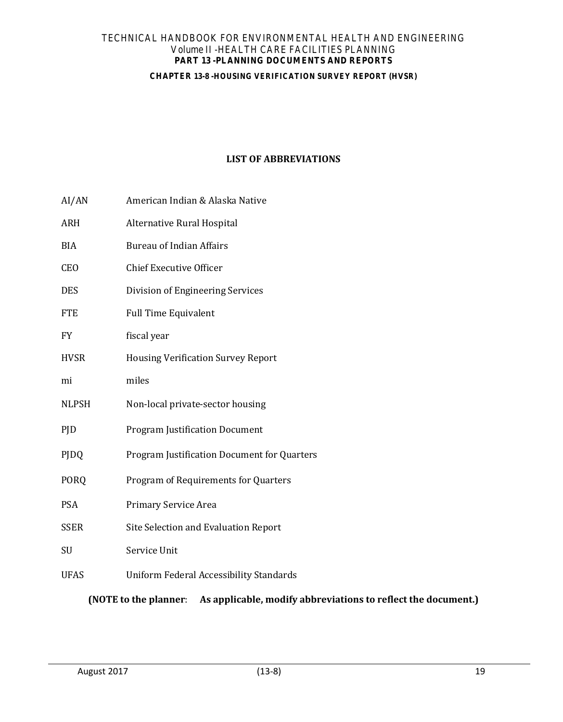#### **CHAPTER 13-8 -HOUSING VERIFICATION SURVEY REPORT (HVSR)**

# **LIST OF ABBREVIATIONS**

- AI/AN American Indian & Alaska Native
- ARH Alternative Rural Hospital
- BIA Bureau of Indian Affairs
- CEO Chief Executive Officer
- DES Division of Engineering Services
- FTE Full Time Equivalent
- FY fiscal year
- HVSR Housing Verification Survey Report
- mi miles
- NLPSH Non-local private-sector housing
- PJD Program Justification Document
- PJDQ Program Justification Document for Quarters
- PORQ Program of Requirements for Quarters
- PSA Primary Service Area
- SSER Site Selection and Evaluation Report
- SU Service Unit
- UFAS Uniform Federal Accessibility Standards

**(NOTE to the planner**: **As applicable, modify abbreviations to reflect the document.)**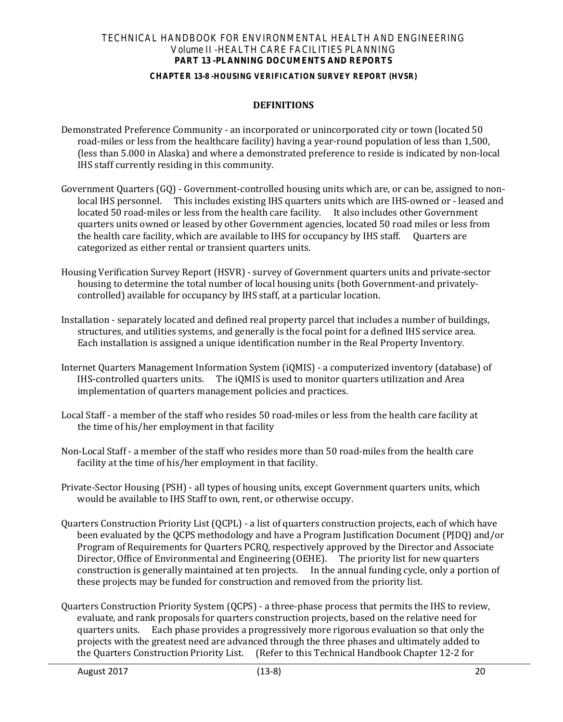#### **CHAPTER 13-8 -HOUSING VERIFICATION SURVEY REPORT (HVSR)**

## **DEFINITIONS**

- Demonstrated Preference Community an incorporated or unincorporated city or town (located 50 road-miles or less from the healthcare facility) having a year-round population of less than 1,500, (less than 5.000 in Alaska) and where a demonstrated preference to reside is indicated by non-local IHS staff currently residing in this community.
- Government Quarters (GQ) Government-controlled housing units which are, or can be, assigned to nonlocal IHS personnel. This includes existing IHS quarters units which are IHS-owned or - leased and located 50 road-miles or less from the health care facility. It also includes other Government quarters units owned or leased by other Government agencies, located 50 road miles or less from the health care facility, which are available to IHS for occupancy by IHS staff. Quarters are categorized as either rental or transient quarters units.
- Housing Verification Survey Report (HSVR) survey of Government quarters units and private-sector housing to determine the total number of local housing units (both Government-and privatelycontrolled) available for occupancy by IHS staff, at a particular location.
- Installation separately located and defined real property parcel that includes a number of buildings, structures, and utilities systems, and generally is the focal point for a defined IHS service area. Each installation is assigned a unique identification number in the Real Property Inventory.
- Internet Quarters Management Information System (iQMIS) a computerized inventory (database) of IHS-controlled quarters units. The iQMIS is used to monitor quarters utilization and Area implementation of quarters management policies and practices.
- Local Staff a member of the staff who resides 50 road-miles or less from the health care facility at the time of his/her employment in that facility
- Non-Local Staff a member of the staff who resides more than 50 road-miles from the health care facility at the time of his/her employment in that facility.
- Private-Sector Housing (PSH) all types of housing units, except Government quarters units, which would be available to IHS Staff to own, rent, or otherwise occupy.
- Quarters Construction Priority List (QCPL) a list of quarters construction projects, each of which have been evaluated by the QCPS methodology and have a Program Justification Document (PJDQ) and/or Program of Requirements for Quarters PCRQ, respectively approved by the Director and Associate Director, Office of Environmental and Engineering (OEHE). The priority list for new quarters construction is generally maintained at ten projects. In the annual funding cycle, only a portion of these projects may be funded for construction and removed from the priority list.
- Quarters Construction Priority System (QCPS) a three-phase process that permits the IHS to review, evaluate, and rank proposals for quarters construction projects, based on the relative need for quarters units. Each phase provides a progressively more rigorous evaluation so that only the projects with the greatest need are advanced through the three phases and ultimately added to the Quarters Construction Priority List. (Refer to this Technical Handbook Chapter 12-2 for (Refer to this Technical Handbook Chapter 12-2 for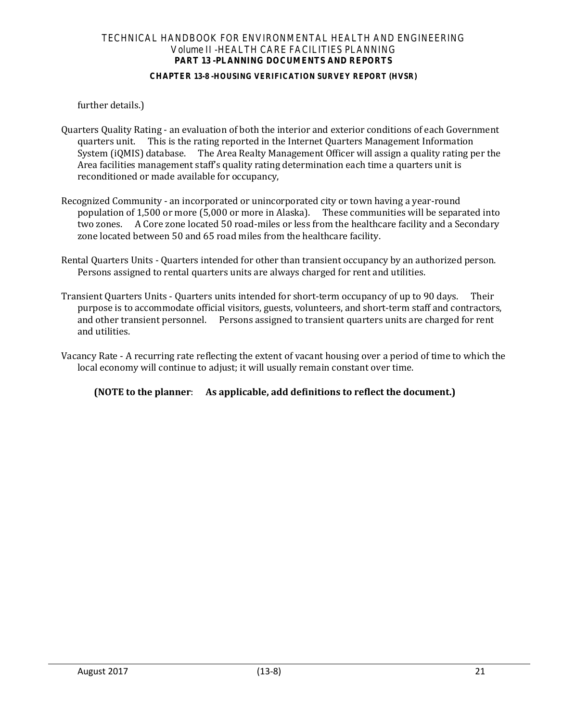#### **CHAPTER 13-8 -HOUSING VERIFICATION SURVEY REPORT (HVSR)**

further details.)

- Quarters Quality Rating an evaluation of both the interior and exterior conditions of each Government quarters unit. This is the rating reported in the Internet Quarters Management Information System (iQMIS) database. The Area Realty Management Officer will assign a quality rating per the Area facilities management staff's quality rating determination each time a quarters unit is reconditioned or made available for occupancy,
- Recognized Community an incorporated or unincorporated city or town having a year-round population of 1,500 or more (5,000 or more in Alaska). These communities will be separated into two zones. A Core zone located 50 road-miles or less from the healthcare facility and a Secondary zone located between 50 and 65 road miles from the healthcare facility.
- Rental Quarters Units Quarters intended for other than transient occupancy by an authorized person. Persons assigned to rental quarters units are always charged for rent and utilities.
- Transient Quarters Units Quarters units intended for short-term occupancy of up to 90 days. Their purpose is to accommodate official visitors, guests, volunteers, and short-term staff and contractors, and other transient personnel. Persons assigned to transient quarters units are charged for rent and utilities.
- Vacancy Rate A recurring rate reflecting the extent of vacant housing over a period of time to which the local economy will continue to adjust; it will usually remain constant over time.

**(NOTE to the planner**: **As applicable, add definitions to reflect the document.)**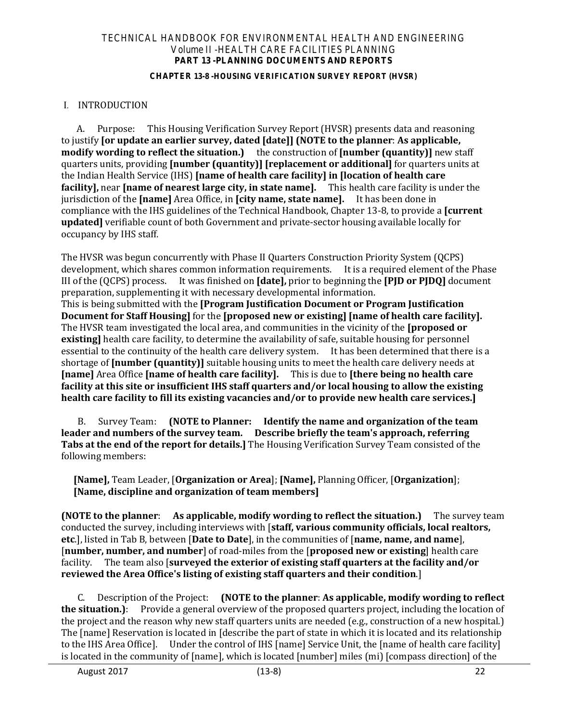#### **CHAPTER 13-8 -HOUSING VERIFICATION SURVEY REPORT (HVSR)**

## I. INTRODUCTION

A. Purpose: This Housing Verification Survey Report (HVSR) presents data and reasoning to justify **[or update an earlier survey, dated [date]] (NOTE to the planner**: **As applicable, modify wording to reflect the situation.)** the construction of **[number (quantity)]** new staff quarters units, providing **[number (quantity)] [replacement or additional]** for quarters units at the Indian Health Service (IHS) **[name of health care facility] in [location of health care facility],** near **[name of nearest large city, in state name].** This health care facility is under the jurisdiction of the **[name]** Area Office, in **[city name, state name].** It has been done in compliance with the IHS guidelines of the Technical Handbook, Chapter 13-8, to provide a **[current updated]** verifiable count of both Government and private-sector housing available locally for occupancy by IHS staff.

The HVSR was begun concurrently with Phase II Quarters Construction Priority System (QCPS) development, which shares common information requirements. It is a required element of the Phase III of the (QCPS) process. It was finished on **[date],** prior to beginning the **[PJD or PJDQ]** document preparation, supplementing it with necessary developmental information.

This is being submitted with the **[Program Justification Document or Program Justification Document for Staff Housing]** for the **[proposed new or existing] [name of health care facility].**  The HVSR team investigated the local area, and communities in the vicinity of the **[proposed or existing]** health care facility, to determine the availability of safe, suitable housing for personnel essential to the continuity of the health care delivery system. It has been determined that there is a shortage of **[number (quantity)]** suitable housing units to meet the health care delivery needs at **[name]** Area Office **[name of health care facility].** This is due to **[there being no health care facility at this site or insufficient IHS staff quarters and/or local housing to allow the existing health care facility to fill its existing vacancies and/or to provide new health care services.]**

B. Survey Team: **(NOTE to Planner: Identify the name and organization of the team leader and numbers of the survey team. Describe briefly the team's approach, referring Tabs at the end of the report for details.]** The Housing Verification Survey Team consisted of the following members:

**[Name],** Team Leader, [**Organization or Area**]; **[Name],** Planning Officer, [**Organization**]; **[Name, discipline and organization of team members]**

**(NOTE to the planner**: **As applicable, modify wording to reflect the situation.)** The survey team conducted the survey, including interviews with [**staff, various community officials, local realtors, etc**.], listed in Tab B, between [**Date to Date**], in the communities of [**name, name, and name**], [**number, number, and number**] of road-miles from the [**proposed new or existing**] health care facility. The team also [**surveyed the exterior of existing staff quarters at the facility and/or reviewed the Area Office's listing of existing staff quarters and their condition**.]

C. Description of the Project: **(NOTE to the planner**: **As applicable, modify wording to reflect the situation.)**: Provide a general overview of the proposed quarters project, including the location of the project and the reason why new staff quarters units are needed (e.g., construction of a new hospital.) The [name] Reservation is located in [describe the part of state in which it is located and its relationship to the IHS Area Officel. Under the control of IHS [name] Service Unit, the [name of health care facility] Under the control of IHS [name] Service Unit, the [name of health care facility] is located in the community of [name], which is located [number] miles (mi) [compass direction] of the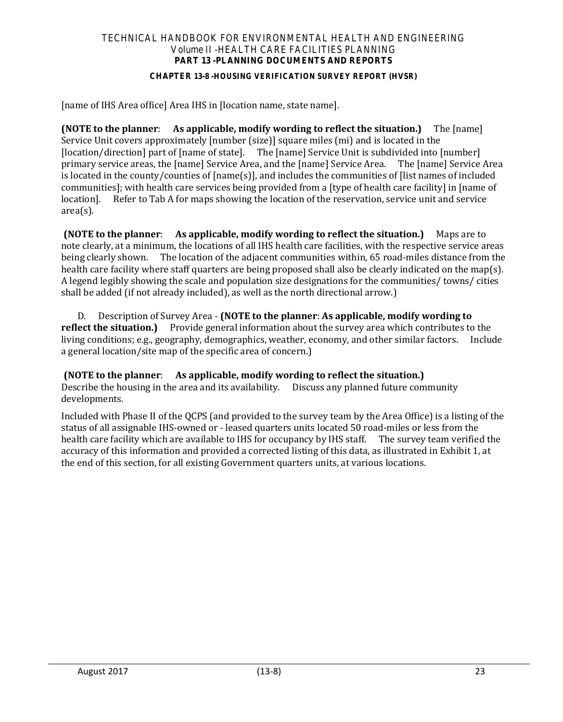#### **CHAPTER 13-8 -HOUSING VERIFICATION SURVEY REPORT (HVSR)**

[name of IHS Area office] Area IHS in [location name, state name].

**(NOTE to the planner**: **As applicable, modify wording to reflect the situation.)** The [name] Service Unit covers approximately [number (size)] square miles (mi) and is located in the [location/direction] part of [name of state]. The [name] Service Unit is subdivided into [number] primary service areas, the [name] Service Area, and the [name] Service Area. The [name] Service Area is located in the county/counties of [name(s)], and includes the communities of [list names of included communities]; with health care services being provided from a [type of health care facility] in [name of location]. Refer to Tab A for maps showing the location of the reservation, service unit and service Refer to Tab A for maps showing the location of the reservation, service unit and service area(s).

**(NOTE to the planner**: **As applicable, modify wording to reflect the situation.)** Maps are to note clearly, at a minimum, the locations of all IHS health care facilities, with the respective service areas being clearly shown. The location of the adjacent communities within, 65 road-miles distance from the health care facility where staff quarters are being proposed shall also be clearly indicated on the map(s). A legend legibly showing the scale and population size designations for the communities/ towns/ cities shall be added (if not already included), as well as the north directional arrow.)

D. Description of Survey Area - **(NOTE to the planner**: **As applicable, modify wording to**  Provide general information about the survey area which contributes to the<br>peraphy, demographics, weather, economy, and other similar factors. Include living conditions; e.g., geography, demographics, weather, economy, and other similar factors. a general location/site map of the specific area of concern.)

**(NOTE to the planner**: **As applicable, modify wording to reflect the situation.)** Describe the housing in the area and its availability. Discuss any planned future community developments.

Included with Phase II of the QCPS (and provided to the survey team by the Area Office) is a listing of the status of all assignable IHS-owned or - leased quarters units located 50 road-miles or less from the health care facility which are available to IHS for occupancy by IHS staff. The survey team verified the accuracy of this information and provided a corrected listing of this data, as illustrated in Exhibit 1, at the end of this section, for all existing Government quarters units, at various locations.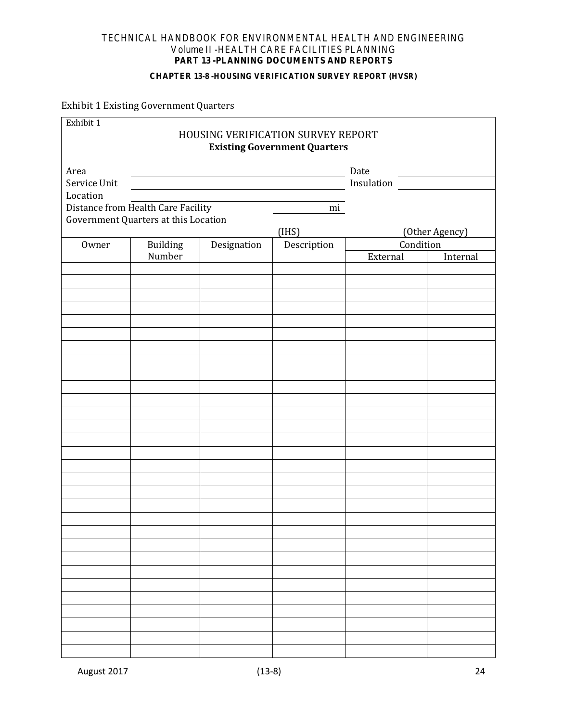#### **CHAPTER 13-8 -HOUSING VERIFICATION SURVEY REPORT (HVSR)**

Exhibit 1 Existing Government Quarters

| Exhibit 1<br><b>HOUSING VERIFICATION SURVEY REPORT</b><br><b>Existing Government Quarters</b> |                                      |                                                                                                                                                                                                                                      |             |            |                |  |  |
|-----------------------------------------------------------------------------------------------|--------------------------------------|--------------------------------------------------------------------------------------------------------------------------------------------------------------------------------------------------------------------------------------|-------------|------------|----------------|--|--|
| Area                                                                                          |                                      |                                                                                                                                                                                                                                      |             | Date       |                |  |  |
| Service Unit                                                                                  |                                      | <u>and the state of the state of the state of the state of the state of the state of the state of the state of the state of the state of the state of the state of the state of the state of the state of the state of the state</u> |             | Insulation |                |  |  |
| Location                                                                                      |                                      |                                                                                                                                                                                                                                      |             |            |                |  |  |
|                                                                                               | Distance from Health Care Facility   |                                                                                                                                                                                                                                      | mi          |            |                |  |  |
|                                                                                               | Government Quarters at this Location |                                                                                                                                                                                                                                      | (IHS)       |            | (Other Agency) |  |  |
| Owner                                                                                         | Building                             | Designation                                                                                                                                                                                                                          | Description | Condition  |                |  |  |
|                                                                                               | Number                               |                                                                                                                                                                                                                                      |             | External   | Internal       |  |  |
|                                                                                               |                                      |                                                                                                                                                                                                                                      |             |            |                |  |  |
|                                                                                               |                                      |                                                                                                                                                                                                                                      |             |            |                |  |  |
|                                                                                               |                                      |                                                                                                                                                                                                                                      |             |            |                |  |  |
|                                                                                               |                                      |                                                                                                                                                                                                                                      |             |            |                |  |  |
|                                                                                               |                                      |                                                                                                                                                                                                                                      |             |            |                |  |  |
|                                                                                               |                                      |                                                                                                                                                                                                                                      |             |            |                |  |  |
|                                                                                               |                                      |                                                                                                                                                                                                                                      |             |            |                |  |  |
|                                                                                               |                                      |                                                                                                                                                                                                                                      |             |            |                |  |  |
|                                                                                               |                                      |                                                                                                                                                                                                                                      |             |            |                |  |  |
|                                                                                               |                                      |                                                                                                                                                                                                                                      |             |            |                |  |  |
|                                                                                               |                                      |                                                                                                                                                                                                                                      |             |            |                |  |  |
|                                                                                               |                                      |                                                                                                                                                                                                                                      |             |            |                |  |  |
|                                                                                               |                                      |                                                                                                                                                                                                                                      |             |            |                |  |  |
|                                                                                               |                                      |                                                                                                                                                                                                                                      |             |            |                |  |  |
|                                                                                               |                                      |                                                                                                                                                                                                                                      |             |            |                |  |  |
|                                                                                               |                                      |                                                                                                                                                                                                                                      |             |            |                |  |  |
|                                                                                               |                                      |                                                                                                                                                                                                                                      |             |            |                |  |  |
|                                                                                               |                                      |                                                                                                                                                                                                                                      |             |            |                |  |  |
|                                                                                               |                                      |                                                                                                                                                                                                                                      |             |            |                |  |  |
|                                                                                               |                                      |                                                                                                                                                                                                                                      |             |            |                |  |  |
|                                                                                               |                                      |                                                                                                                                                                                                                                      |             |            |                |  |  |
|                                                                                               |                                      |                                                                                                                                                                                                                                      |             |            |                |  |  |
|                                                                                               |                                      |                                                                                                                                                                                                                                      |             |            |                |  |  |
|                                                                                               |                                      |                                                                                                                                                                                                                                      |             |            |                |  |  |
|                                                                                               |                                      |                                                                                                                                                                                                                                      |             |            |                |  |  |
|                                                                                               |                                      |                                                                                                                                                                                                                                      |             |            |                |  |  |
|                                                                                               |                                      |                                                                                                                                                                                                                                      |             |            |                |  |  |
|                                                                                               |                                      |                                                                                                                                                                                                                                      |             |            |                |  |  |
|                                                                                               |                                      |                                                                                                                                                                                                                                      |             |            |                |  |  |
|                                                                                               |                                      |                                                                                                                                                                                                                                      |             |            |                |  |  |
|                                                                                               |                                      |                                                                                                                                                                                                                                      |             |            |                |  |  |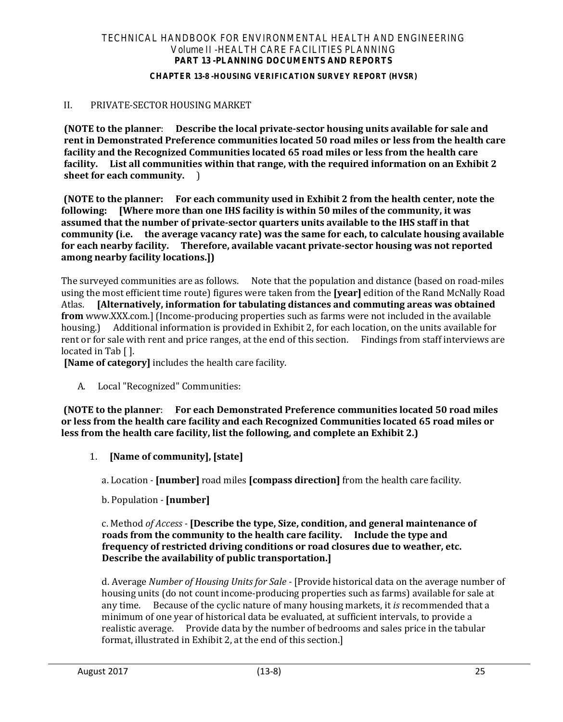#### **CHAPTER 13-8 -HOUSING VERIFICATION SURVEY REPORT (HVSR)**

## II. PRIVATE-SECTOR HOUSING MARKET

**(NOTE to the planner**: **Describe the local private-sector housing units available for sale and rent in Demonstrated Preference communities located 50 road miles or less from the health care facility and the Recognized Communities located 65 road miles or less from the health care facility. List all communities within that range, with the required information on an Exhibit 2 sheet for each community.** )

**(NOTE to the planner: For each community used in Exhibit 2 from the health center, note the following: [Where more than one IHS facility is within 50 miles of the community, it was assumed that the number of private-sector quarters units available to the IHS staff in that community (i.e. the average vacancy rate) was the same for each, to calculate housing available for each nearby facility. Therefore, available vacant private-sector housing was not reported among nearby facility locations.])**

The surveyed communities are as follows. Note that the population and distance (based on road-miles using the most efficient time route) figures were taken from the **[year]** edition of the Rand McNally Road Atlas. **[Alternatively, information for tabulating distances and commuting areas was obtained from** www.XXX.com.] (Income-producing properties such as farms were not included in the available housing.) Additional information is provided in Exhibit 2, for each location, on the units available for rent or for sale with rent and price ranges, at the end of this section. Findings from staff interviews are located in Tab [ ].

**[Name of category]** includes the health care facility.

A. Local "Recognized" Communities:

**(NOTE to the planner**: **For each Demonstrated Preference communities located 50 road miles or less from the health care facility and each Recognized Communities located 65 road miles or less from the health care facility, list the following, and complete an Exhibit 2.)**

1. **[Name of community], [state]**

a. Location *-* **[number]** road miles **[compass direction]** from the health care facility.

b. Population *-* **[number]**

## c. Method *of Access -* **[Describe the type, Size, condition, and general maintenance of roads from the community to the health care facility. Include the type and frequency of restricted driving conditions or road closures due to weather, etc. Describe the availability of public transportation.]**

d. Average *Number of Housing Units for Sale -* [Provide historical data on the average number of housing units (do not count income-producing properties such as farms) available for sale at any time. Because of the cyclic nature of many housing markets, it *is* recommended that a minimum of one year of historical data be evaluated, at sufficient intervals, to provide a realistic average. Provide data by the number of bedrooms and sales price in the tabular format, illustrated in Exhibit 2, at the end of this section.]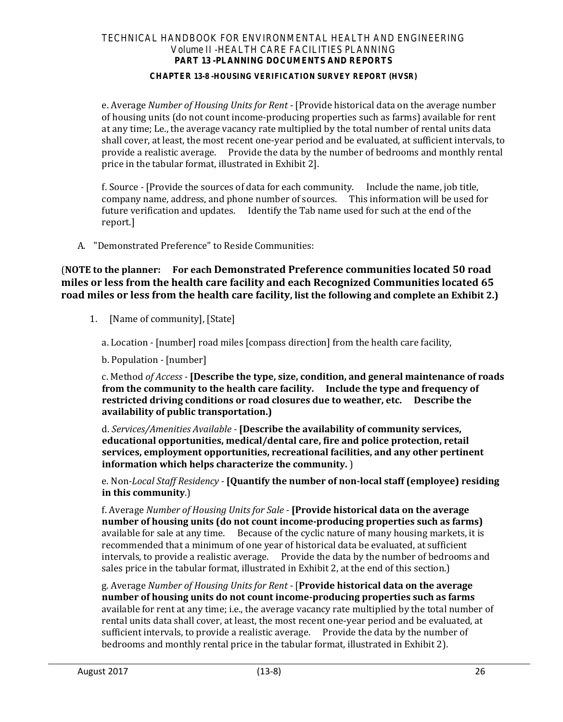#### **CHAPTER 13-8 -HOUSING VERIFICATION SURVEY REPORT (HVSR)**

e. Average *Number of Housing Units for Rent -* [Provide historical data on the average number of housing units (do not count income-producing properties such as farms) available for rent at any time; Le., the average vacancy rate multiplied by the total number of rental units data shall cover, at least, the most recent one-year period and be evaluated, at sufficient intervals, to provide a realistic average. Provide the data by the number of bedrooms and monthly rental price in the tabular format, illustrated in Exhibit 2].

f. Source *-* [Provide the sources of data for each community. Include the name, job title, company name, address, and phone number of sources. This information will be used for future verification and updates. Identify the Tab name used for such at the end of the report.]

A. "Demonstrated Preference" to Reside Communities:

(**NOTE to the planner: For each Demonstrated Preference communities located 50 road miles or less from the health care facility and each Recognized Communities located 65 road miles or less from the health care facility, list the following and complete an Exhibit 2.)**

1. [Name of community], [State]

a. Location *-* [number] road miles [compass direction] from the health care facility,

b. Population *-* [number]

c. Method *of Access -* **[Describe the type, size, condition, and general maintenance of roads from the community to the health care facility. Include the type and frequency of restricted driving conditions or road closures due to weather, etc. Describe the availability of public transportation.)**

d. *Services/Amenities Available -* **[Describe the availability of community services, educational opportunities, medical/dental care, fire and police protection, retail services, employment opportunities, recreational facilities, and any other pertinent information which helps characterize the community.** )

e. Non*-Local Staff Residency -* **[Quantify the number of non-local staff (employee) residing in this community**.)

f. Average *Number of Housing Units for Sale -* **[Provide historical data on the average number of housing units (do not count income-producing properties such as farms)** available for sale at any time. Because of the cyclic nature of many housing markets, it is recommended that a minimum of one year of historical data be evaluated, at sufficient intervals, to provide a realistic average. Provide the data by the number of bedrooms and sales price in the tabular format, illustrated in Exhibit 2, at the end of this section.)

g. Average *Number of Housing Units for Rent -* [**Provide historical data on the average number of housing units do not count income-producing properties such as farms** available for rent at any time; i.e., the average vacancy rate multiplied by the total number of rental units data shall cover, at least, the most recent one-year period and be evaluated, at sufficient intervals, to provide a realistic average. Provide the data by the number of bedrooms and monthly rental price in the tabular format, illustrated in Exhibit 2).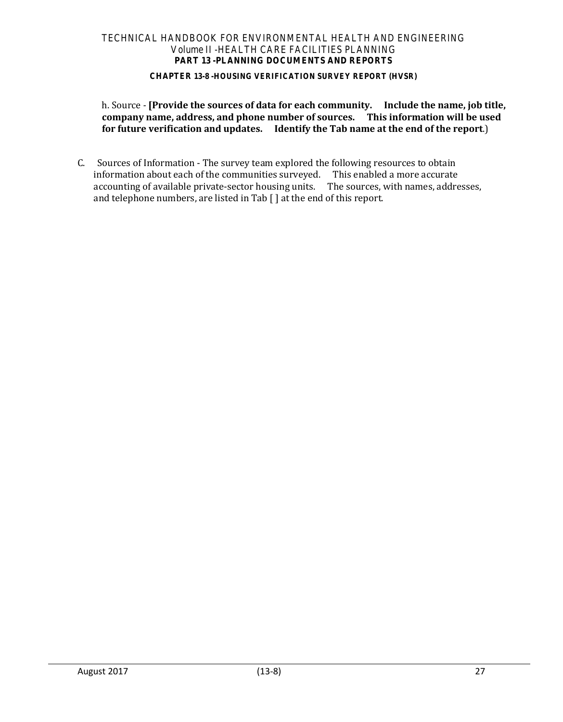#### **CHAPTER 13-8 -HOUSING VERIFICATION SURVEY REPORT (HVSR)**

h. Source *-* **[Provide the sources of data for each community. Include the name, job title, company name, address, and phone number of sources. This information will be used for future verification and updates. Identify the Tab name at the end of the report**.)

C. Sources of Information - The survey team explored the following resources to obtain information about each of the communities surveyed. This enabled a more accurate accounting of available private-sector housing units. The sources, with names, addresses, and telephone numbers, are listed in Tab [ ] at the end of this report.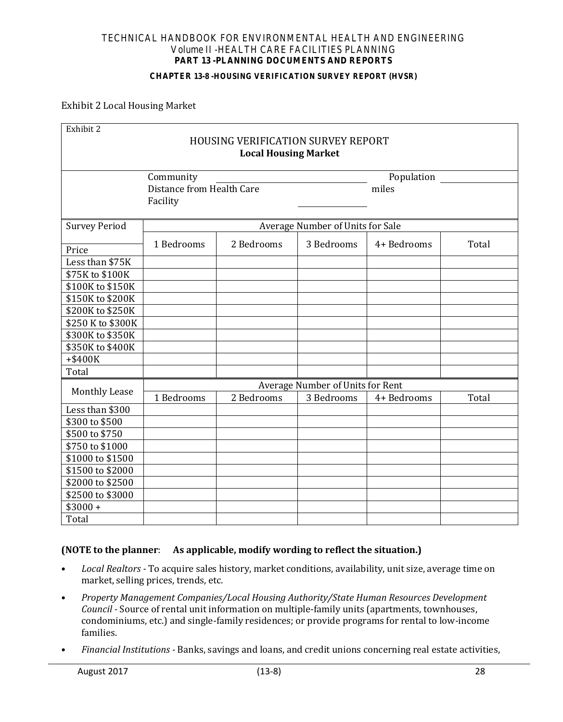#### **CHAPTER 13-8 -HOUSING VERIFICATION SURVEY REPORT (HVSR)**

### Exhibit 2 Local Housing Market

| Exhibit 2            |                                           |                             |                                  |             |       |  |  |
|----------------------|-------------------------------------------|-----------------------------|----------------------------------|-------------|-------|--|--|
|                      | <b>HOUSING VERIFICATION SURVEY REPORT</b> |                             |                                  |             |       |  |  |
|                      |                                           | <b>Local Housing Market</b> |                                  |             |       |  |  |
|                      | Community                                 |                             |                                  | Population  |       |  |  |
|                      | Distance from Health Care                 |                             |                                  | miles       |       |  |  |
|                      | Facility                                  |                             |                                  |             |       |  |  |
| <b>Survey Period</b> |                                           |                             | Average Number of Units for Sale |             |       |  |  |
|                      |                                           |                             |                                  |             |       |  |  |
| Price                | 1 Bedrooms                                | 2 Bedrooms                  | 3 Bedrooms                       | 4+ Bedrooms | Total |  |  |
| Less than \$75K      |                                           |                             |                                  |             |       |  |  |
| \$75K to \$100K      |                                           |                             |                                  |             |       |  |  |
| \$100K to \$150K     |                                           |                             |                                  |             |       |  |  |
| \$150K to \$200K     |                                           |                             |                                  |             |       |  |  |
| \$200K to \$250K     |                                           |                             |                                  |             |       |  |  |
| \$250 K to \$300K    |                                           |                             |                                  |             |       |  |  |
| \$300K to \$350K     |                                           |                             |                                  |             |       |  |  |
| \$350K to \$400K     |                                           |                             |                                  |             |       |  |  |
| +\$400K              |                                           |                             |                                  |             |       |  |  |
| Total                |                                           |                             |                                  |             |       |  |  |
| <b>Monthly Lease</b> | Average Number of Units for Rent          |                             |                                  |             |       |  |  |
|                      | 1 Bedrooms                                | 2 Bedrooms                  | 3 Bedrooms                       | 4+ Bedrooms | Total |  |  |
| Less than \$300      |                                           |                             |                                  |             |       |  |  |
| \$300 to \$500       |                                           |                             |                                  |             |       |  |  |
| \$500 to \$750       |                                           |                             |                                  |             |       |  |  |
| \$750 to \$1000      |                                           |                             |                                  |             |       |  |  |
| \$1000 to \$1500     |                                           |                             |                                  |             |       |  |  |
| \$1500 to \$2000     |                                           |                             |                                  |             |       |  |  |
| \$2000 to \$2500     |                                           |                             |                                  |             |       |  |  |
| \$2500 to \$3000     |                                           |                             |                                  |             |       |  |  |
| $$3000 +$            |                                           |                             |                                  |             |       |  |  |
| Total                |                                           |                             |                                  |             |       |  |  |

## **(NOTE to the planner**: **As applicable, modify wording to reflect the situation.)**

- *Local Realtors* To acquire sales history, market conditions, availability, unit size, average time on market, selling prices, trends, etc.
- *Property Management Companies/Local Housing Authority/State Human Resources Development Council -* Source of rental unit information on multiple-family units (apartments, townhouses, condominiums, etc.) and single-family residences; or provide programs for rental to low-income families.
- *Financial Institutions* Banks, savings and loans, and credit unions concerning real estate activities,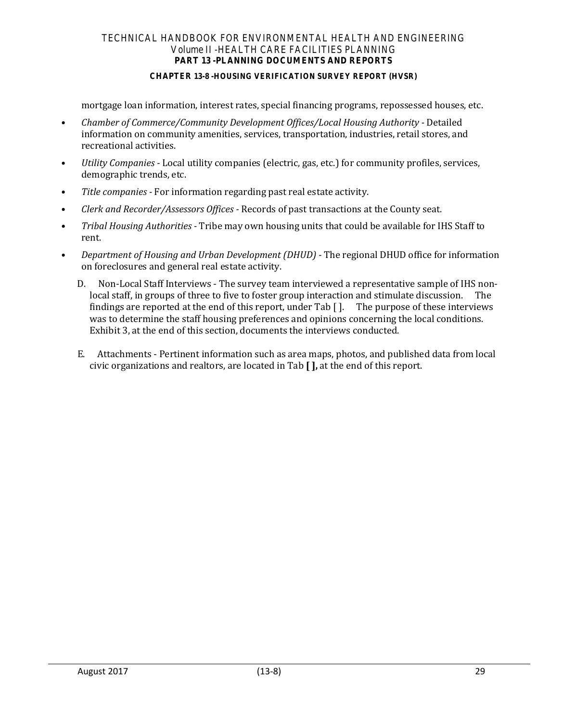#### **CHAPTER 13-8 -HOUSING VERIFICATION SURVEY REPORT (HVSR)**

mortgage loan information, interest rates, special financing programs, repossessed houses, etc.

- Chamber of Commerce/Community Development Offices/Local Housing Authority Detailed information on community amenities, services, transportation, industries, retail stores, and recreational activities.
- *Utility Companies* Local utility companies (electric, gas, etc.) for community profiles, services, demographic trends, etc.
- *Title companies* For information regarding past real estate activity.
- *Clerk and Recorder/Assessors Offices* Records of past transactions at the County seat.
- *Tribal Housing Authorities* Tribe may own housing units that could be available for IHS Staff to rent.
- *Department of Housing and Urban Development (DHUD)* The regional DHUD office for information on foreclosures and general real estate activity.
	- D. Non-Local Staff Interviews The survey team interviewed a representative sample of IHS nonlocal staff, in groups of three to five to foster group interaction and stimulate discussion. The findings are reported at the end of this report, under Tab [ ]. The purpose of these interviews was to determine the staff housing preferences and opinions concerning the local conditions. Exhibit 3, at the end of this section, documents the interviews conducted.
	- E. Attachments Pertinent information such as area maps, photos, and published data from local civic organizations and realtors, are located in Tab **[ ],** at the end of this report.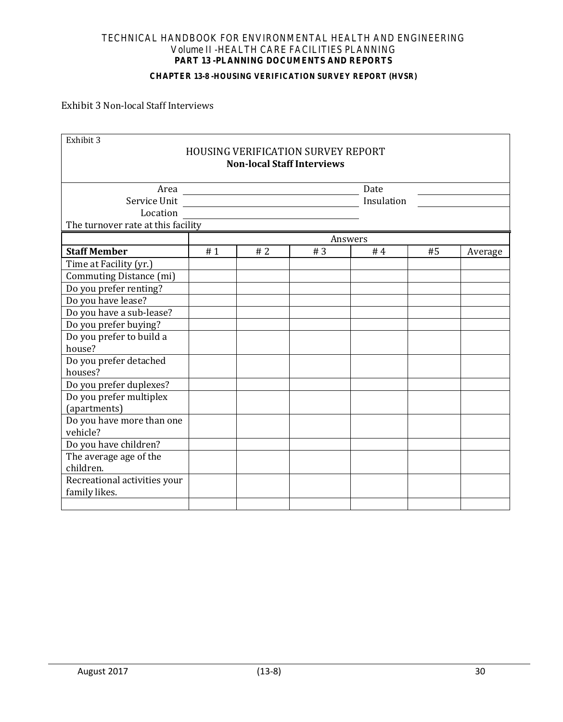#### **CHAPTER 13-8 -HOUSING VERIFICATION SURVEY REPORT (HVSR)**

# Exhibit 3 Non-local Staff Interviews

| Exhibit 3                          |    |    |                                                                                |            |    |         |
|------------------------------------|----|----|--------------------------------------------------------------------------------|------------|----|---------|
|                                    |    |    | <b>HOUSING VERIFICATION SURVEY REPORT</b><br><b>Non-local Staff Interviews</b> |            |    |         |
|                                    |    |    |                                                                                |            |    |         |
| Area                               |    |    |                                                                                | Date       |    |         |
| Service Unit                       |    |    |                                                                                | Insulation |    |         |
| Location                           |    |    |                                                                                |            |    |         |
| The turnover rate at this facility |    |    |                                                                                |            |    |         |
|                                    |    |    |                                                                                | Answers    |    |         |
| <b>Staff Member</b>                | #1 | #2 | #3                                                                             | #4         | #5 | Average |
| Time at Facility (yr.)             |    |    |                                                                                |            |    |         |
| Commuting Distance (mi)            |    |    |                                                                                |            |    |         |
| Do you prefer renting?             |    |    |                                                                                |            |    |         |
| Do you have lease?                 |    |    |                                                                                |            |    |         |
| Do you have a sub-lease?           |    |    |                                                                                |            |    |         |
| Do you prefer buying?              |    |    |                                                                                |            |    |         |
| Do you prefer to build a           |    |    |                                                                                |            |    |         |
| house?                             |    |    |                                                                                |            |    |         |
| Do you prefer detached             |    |    |                                                                                |            |    |         |
| houses?                            |    |    |                                                                                |            |    |         |
| Do you prefer duplexes?            |    |    |                                                                                |            |    |         |
| Do you prefer multiplex            |    |    |                                                                                |            |    |         |
| (apartments)                       |    |    |                                                                                |            |    |         |
| Do you have more than one          |    |    |                                                                                |            |    |         |
| vehicle?                           |    |    |                                                                                |            |    |         |
| Do you have children?              |    |    |                                                                                |            |    |         |
| The average age of the             |    |    |                                                                                |            |    |         |
| children.                          |    |    |                                                                                |            |    |         |
| Recreational activities your       |    |    |                                                                                |            |    |         |
| family likes.                      |    |    |                                                                                |            |    |         |
|                                    |    |    |                                                                                |            |    |         |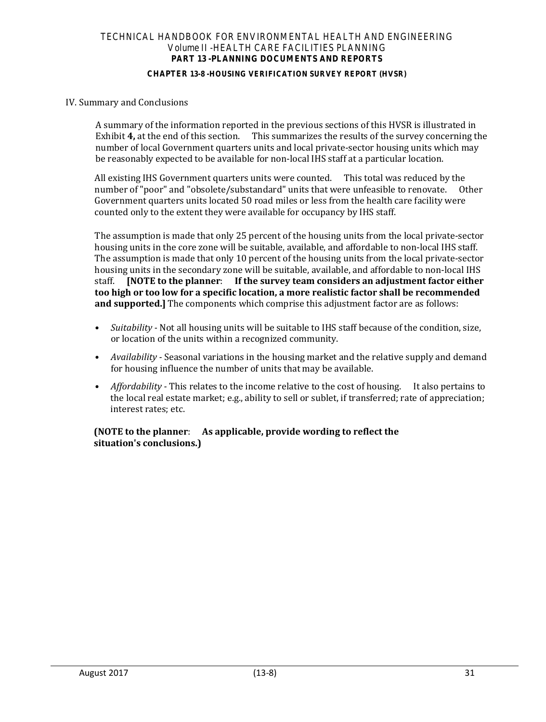#### **CHAPTER 13-8 -HOUSING VERIFICATION SURVEY REPORT (HVSR)**

### IV. Summary and Conclusions

A summary of the information reported in the previous sections of this HVSR is illustrated in Exhibit 4, at the end of this section. This summarizes the results of the survey concerning the This summarizes the results of the survey concerning the number of local Government quarters units and local private-sector housing units which may be reasonably expected to be available for non-local IHS staff at a particular location.

All existing IHS Government quarters units were counted. This total was reduced by the number of "poor" and "obsolete/substandard" units that were unfeasible to renovate. Other Government quarters units located 50 road miles or less from the health care facility were counted only to the extent they were available for occupancy by IHS staff.

The assumption is made that only 25 percent of the housing units from the local private-sector housing units in the core zone will be suitable, available, and affordable to non-local IHS staff. The assumption is made that only 10 percent of the housing units from the local private-sector housing units in the secondary zone will be suitable, available, and affordable to non-local IHS<br>staff. [NOTE to the planner: If the survey team considers an adjustment factor either staff. **[NOTE to the planner**: **If the survey team considers an adjustment factor either too high or too low for a specific location, a more realistic factor shall be recommended and supported.]** The components which comprise this adjustment factor are as follows:

- *Suitability* Not all housing units will be suitable to IHS staff because of the condition, size, or location of the units within a recognized community.
- *Availability* Seasonal variations in the housing market and the relative supply and demand for housing influence the number of units that may be available.
- *Affordability* This relates to the income relative to the cost of housing. It also pertains to the local real estate market; e.g., ability to sell or sublet, if transferred; rate of appreciation; interest rates; etc.

### **(NOTE to the planner**: **As applicable, provide wording to reflect the situation's conclusions.)**